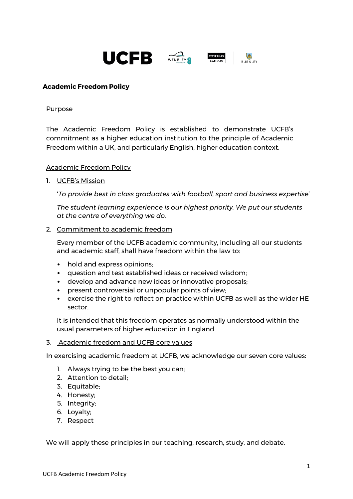

## **Academic Freedom Policy**

#### Purpose

The Academic Freedom Policy is established to demonstrate UCFB's commitment as a higher education institution to the principle of Academic Freedom within a UK, and particularly English, higher education context.

#### Academic Freedom Policy

1. UCFB's Mission

'*To provide best in class graduates with football, sport and business expertise*'

*The student learning experience is our highest priority. We put our students at the centre of everything we do.*

2. Commitment to academic freedom

Every member of the UCFB academic community, including all our students and academic staff, shall have freedom within the law to:

- hold and express opinions;
- question and test established ideas or received wisdom;
- develop and advance new ideas or innovative proposals;
- present controversial or unpopular points of view;
- exercise the right to reflect on practice within UCFB as well as the wider HE sector.

It is intended that this freedom operates as normally understood within the usual parameters of higher education in England.

3. Academic freedom and UCFB core values

In exercising academic freedom at UCFB, we acknowledge our seven core values:

- 1. Always trying to be the best you can;
- 2. Attention to detail;
- 3. Equitable;
- 4. Honesty;
- 5. Integrity;
- 6. Loyalty;
- 7. Respect

We will apply these principles in our teaching, research, study, and debate.